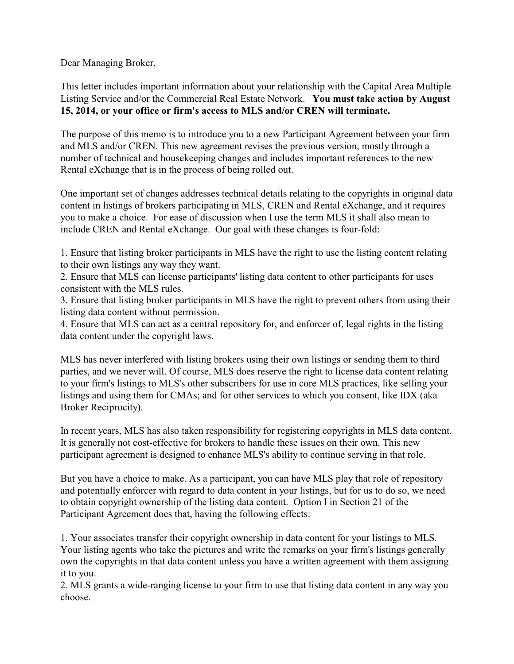Dear Managing Broker,

This letter includes important information about your relationship with the Capital Area Multiple Listing Service and/or the Commercial Real Estate Network. **You must take action by August 15, 2014, or your office or firm's access to MLS and/or CREN will terminate.**

The purpose of this memo is to introduce you to a new Participant Agreement between your firm and MLS and/or CREN. This new agreement revises the previous version, mostly through a number of technical and housekeeping changes and includes important references to the new Rental eXchange that is in the process of being rolled out.

One important set of changes addresses technical details relating to the copyrights in original data content in listings of brokers participating in MLS, CREN and Rental eXchange, and it requires you to make a choice. For ease of discussion when I use the term MLS it shall also mean to include CREN and Rental eXchange. Our goal with these changes is four-fold:

1. Ensure that listing broker participants in MLS have the right to use the listing content relating to their own listings any way they want.

2. Ensure that MLS can license participants' listing data content to other participants for uses consistent with the MLS rules.

3. Ensure that listing broker participants in MLS have the right to prevent others from using their listing data content without permission.

4. Ensure that MLS can act as a central repository for, and enforcer of, legal rights in the listing data content under the copyright laws.

MLS has never interfered with listing brokers using their own listings or sending them to third parties, and we never will. Of course, MLS does reserve the right to license data content relating to your firm's listings to MLS's other subscribers for use in core MLS practices, like selling your listings and using them for CMAs; and for other services to which you consent, like IDX (aka Broker Reciprocity).

In recent years, MLS has also taken responsibility for registering copyrights in MLS data content. It is generally not cost-effective for brokers to handle these issues on their own. This new participant agreement is designed to enhance MLS's ability to continue serving in that role.

But you have a choice to make. As a participant, you can have MLS play that role of repository and potentially enforcer with regard to data content in your listings, but for us to do so, we need to obtain copyright ownership of the listing data content. Option I in Section 21 of the Participant Agreement does that, having the following effects:

1. Your associates transfer their copyright ownership in data content for your listings to MLS. Your listing agents who take the pictures and write the remarks on your firm's listings generally own the copyrights in that data content unless you have a written agreement with them assigning it to you.

2. MLS grants a wide-ranging license to your firm to use that listing data content in any way you choose.